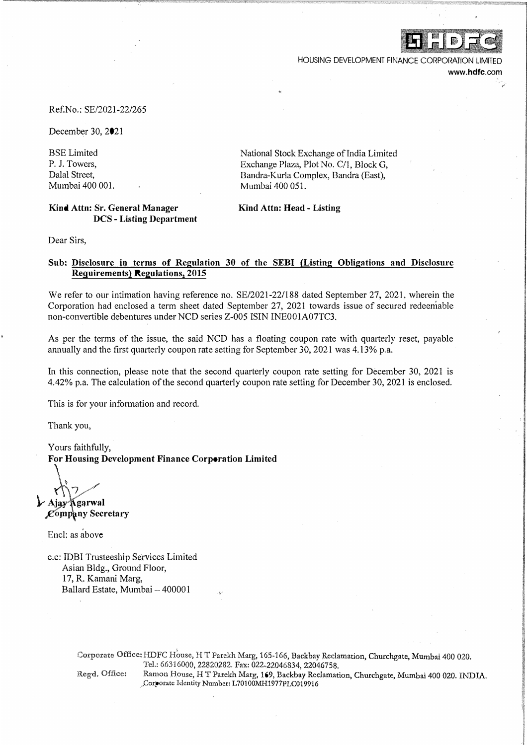

HOUSING DEVELOPMENT FINANCE CORPORATION LIMIT www.hdfc.com

#### Ref.No.: SE/2021-22/265

December 30, 2021

BSE Limited P. J. Towers, Dalal Street, Mumbai 400 001.

### **Kind Attn: Sr. General Manager DCS - Listing Department**

National Stock Exchange of India Limited Exchange Plaza, Plot No. C/1, Block G, Bandra-Kurla Complex, Bandra (East), Mumbai 400 051.

### **Kind Attn: Head - Listing**

Dear Sirs,

## **Sub: Disclosure in terms of Regulation 30 of the SEBI (Listing Obligations and Disclosure Requirements) Regulations, 2015**

We refer to our intimation having reference no. SE/2021-22/188 dated September 27, 2021, wherein the Corporation had enclosed a term sheet dated September 27, 2021 towards issue of secured redeemable non-convertible debentures under NCD series Z-005 ISIN INE001A07TC3.

As per the terms of the issue, the said NCD has a floating coupon rate with quarterly reset, payable annually and the first quarterly coupon rate setting for September 30, 2021 was 4.13% p.a.

In this connection, please note that the second quarterly coupon rate setting for December 30, 2021 is 4.42% p.a. The calculation ofthe second quarterly coupon rate setting for December 30, 2021 is enclosed.

This is for your information and record.

Thank you,

Yours faithfully, **For Housing Development Finance Corporation Limited** 

\� *(\'* **1,-- Aj gqrwal** 

**Company Secretary** 

Encl: as above

c.c: IDBI Trusteeship Services Limited Asian Bldg., Ground Floor, 17, R. Kamani Marg, Ballard Estate, Mumbai - 400001

> Corporate Office: HDFC House, H T Parekh Marg, 165-166, Backbay Reclamation, Churchgate, Mumbai 400 020. Tel.: 66316000, 22820282. Fax: 022-22046834, 22046758. Regd. Office: Ramon House, H T Parekh Marg, 169, Backbay Reclamation, Churchgate, Mumbai 400 020. INDIA. ,.Corporate Identity Number: L70100MH1977PLC019916